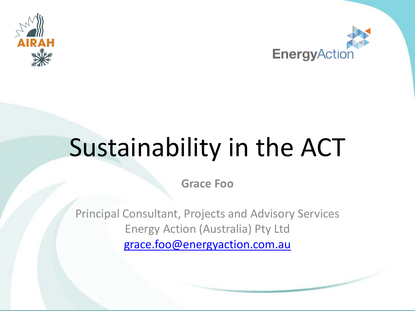



# Sustainability in the ACT

**Grace Foo**

Principal Consultant, Projects and Advisory Services Energy Action (Australia) Pty Ltd [grace.foo@energyaction.com.au](mailto:Grace.foo@energyaction.com.au)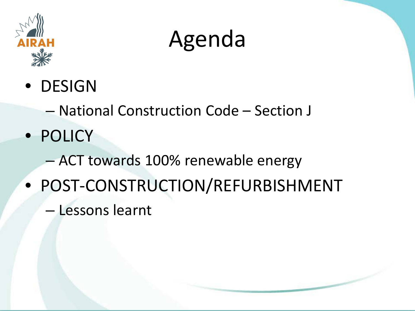

#### Agenda

- DESIGN
	- National Construction Code Section J
- POLICY
	- ACT towards 100% renewable energy
- POST-CONSTRUCTION/REFURBISHMENT
	- Lessons learnt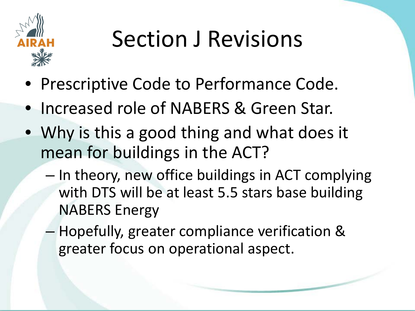

- Prescriptive Code to Performance Code.
- Increased role of NABERS & Green Star.
- Why is this a good thing and what does it mean for buildings in the ACT?
	- In theory, new office buildings in ACT complying with DTS will be at least 5.5 stars base building NABERS Energy
	- Hopefully, greater compliance verification & greater focus on operational aspect.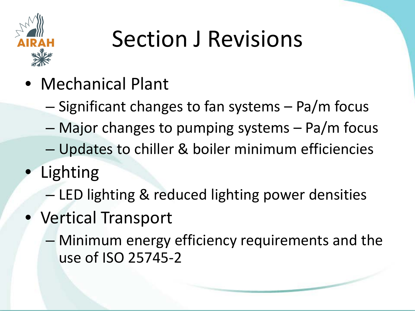

- Mechanical Plant
	- Significant changes to fan systems Pa/m focus
	- Major changes to pumping systems Pa/m focus
	- Updates to chiller & boiler minimum efficiencies
- **Lighting** 
	- LED lighting & reduced lighting power densities
- Vertical Transport
	- Minimum energy efficiency requirements and the use of ISO 25745-2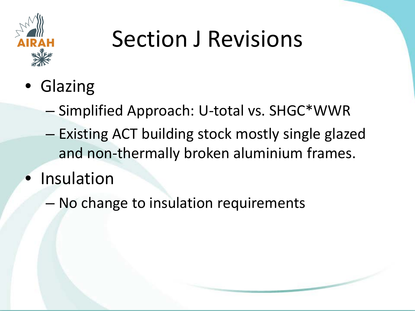

- Glazing
	- Simplified Approach: U-total vs. SHGC\*WWR
	- Existing ACT building stock mostly single glazed and non-thermally broken aluminium frames.
- **Insulation** 
	- No change to insulation requirements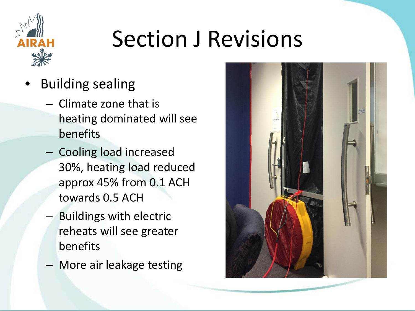

- Building sealing
	- Climate zone that is heating dominated will see benefits
	- Cooling load increased 30%, heating load reduced approx 45% from 0.1 ACH towards 0.5 ACH
	- Buildings with electric reheats will see greater benefits
	- More air leakage testing

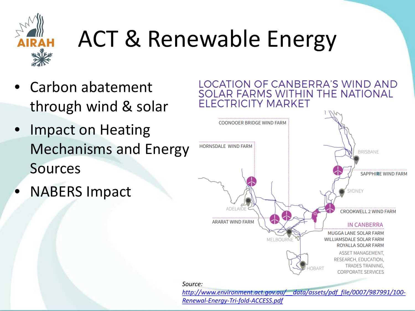

#### ACT & Renewable Energy

- Carbon abatement through wind & solar
- Impact on Heating Mechanisms and Energy Sources
- NABERS Impact



*[http://www.environment.act.gov.au/\\_\\_data/assets/pdf\\_file/0007/987991/100-](http://www.environment.act.gov.au/__data/assets/pdf_file/0007/987991/100-Renewal-Energy-Tri-fold-ACCESS.pdf) Renewal-Energy-Tri-fold-ACCESS.pdf*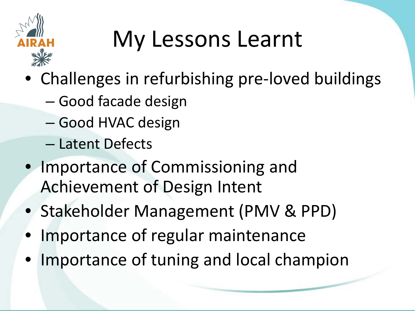

## My Lessons Learnt

- Challenges in refurbishing pre-loved buildings
	- Good facade design
	- Good HVAC design
	- Latent Defects
- Importance of Commissioning and Achievement of Design Intent
- Stakeholder Management (PMV & PPD)
- Importance of regular maintenance
- Importance of tuning and local champion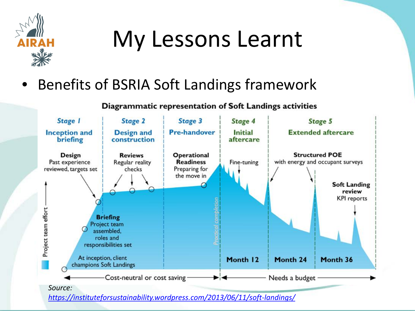

#### My Lessons Learnt

#### Benefits of BSRIA Soft Landings framework

#### Diagrammatic representation of Soft Landings activities



*<https://instituteforsustainability.wordpress.com/2013/06/11/soft-landings/>*